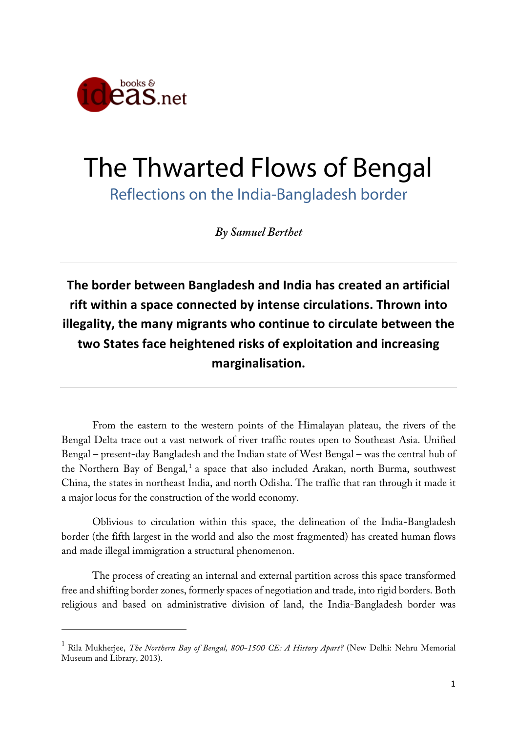

 $\overline{a}$ 

# The Thwarted Flows of Bengal

Reflections on the India-Bangladesh border

*By Samuel Berthet*

**The border between Bangladesh and India has created an artificial rift within a space connected by intense circulations. Thrown into illegality, the many migrants who continue to circulate between the two States face heightened risks of exploitation and increasing marginalisation.**

From the eastern to the western points of the Himalayan plateau, the rivers of the Bengal Delta trace out a vast network of river traffic routes open to Southeast Asia. Unified Bengal – present-day Bangladesh and the Indian state of West Bengal – was the central hub of the Northern Bay of Bengal*,* <sup>1</sup> a space that also included Arakan, north Burma, southwest China, the states in northeast India, and north Odisha. The traffic that ran through it made it a major locus for the construction of the world economy.

Oblivious to circulation within this space, the delineation of the India-Bangladesh border (the fifth largest in the world and also the most fragmented) has created human flows and made illegal immigration a structural phenomenon.

The process of creating an internal and external partition across this space transformed free and shifting border zones, formerly spaces of negotiation and trade, into rigid borders. Both religious and based on administrative division of land, the India-Bangladesh border was

<sup>1</sup> Rila Mukherjee, *The Northern Bay of Bengal, 800-1500 CE: A History Apart?* (New Delhi: Nehru Memorial Museum and Library, 2013).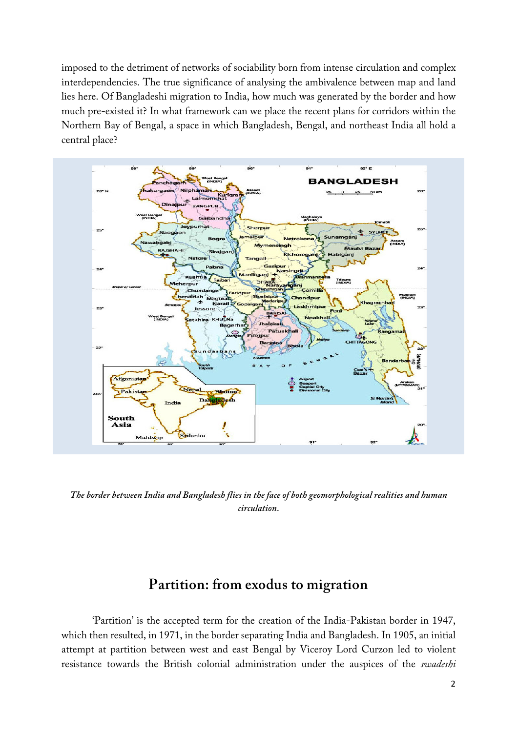imposed to the detriment of networks of sociability born from intense circulation and complex interdependencies. The true significance of analysing the ambivalence between map and land lies here. Of Bangladeshi migration to India, how much was generated by the border and how much pre-existed it? In what framework can we place the recent plans for corridors within the Northern Bay of Bengal, a space in which Bangladesh, Bengal, and northeast India all hold a central place?



*The border between India and Bangladesh flies in the face of both geomorphological realities and human circulation.*

#### **Partition: from exodus to migration**

'Partition' is the accepted term for the creation of the India-Pakistan border in 1947, which then resulted, in 1971, in the border separating India and Bangladesh. In 1905, an initial attempt at partition between west and east Bengal by Viceroy Lord Curzon led to violent resistance towards the British colonial administration under the auspices of the *swadeshi*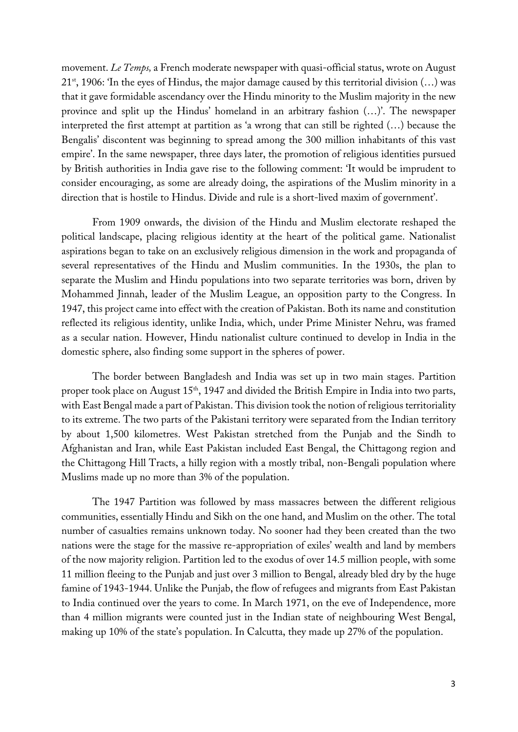movement. *Le Temps,* a French moderate newspaper with quasi-official status, wrote on August  $21<sup>st</sup>$ , 1906: 'In the eyes of Hindus, the major damage caused by this territorial division (...) was that it gave formidable ascendancy over the Hindu minority to the Muslim majority in the new province and split up the Hindus' homeland in an arbitrary fashion (…)'. The newspaper interpreted the first attempt at partition as 'a wrong that can still be righted (…) because the Bengalis' discontent was beginning to spread among the 300 million inhabitants of this vast empire'. In the same newspaper, three days later, the promotion of religious identities pursued by British authorities in India gave rise to the following comment: 'It would be imprudent to consider encouraging, as some are already doing, the aspirations of the Muslim minority in a direction that is hostile to Hindus. Divide and rule is a short-lived maxim of government'.

From 1909 onwards, the division of the Hindu and Muslim electorate reshaped the political landscape, placing religious identity at the heart of the political game. Nationalist aspirations began to take on an exclusively religious dimension in the work and propaganda of several representatives of the Hindu and Muslim communities. In the 1930s, the plan to separate the Muslim and Hindu populations into two separate territories was born, driven by Mohammed Jinnah, leader of the Muslim League, an opposition party to the Congress. In 1947, this project came into effect with the creation of Pakistan. Both its name and constitution reflected its religious identity, unlike India, which, under Prime Minister Nehru, was framed as a secular nation. However, Hindu nationalist culture continued to develop in India in the domestic sphere, also finding some support in the spheres of power.

The border between Bangladesh and India was set up in two main stages. Partition proper took place on August 15<sup>th</sup>, 1947 and divided the British Empire in India into two parts, with East Bengal made a part of Pakistan. This division took the notion of religious territoriality to its extreme. The two parts of the Pakistani territory were separated from the Indian territory by about 1,500 kilometres. West Pakistan stretched from the Punjab and the Sindh to Afghanistan and Iran, while East Pakistan included East Bengal, the Chittagong region and the Chittagong Hill Tracts, a hilly region with a mostly tribal, non-Bengali population where Muslims made up no more than 3% of the population.

The 1947 Partition was followed by mass massacres between the different religious communities, essentially Hindu and Sikh on the one hand, and Muslim on the other. The total number of casualties remains unknown today. No sooner had they been created than the two nations were the stage for the massive re-appropriation of exiles' wealth and land by members of the now majority religion. Partition led to the exodus of over 14.5 million people, with some 11 million fleeing to the Punjab and just over 3 million to Bengal, already bled dry by the huge famine of 1943-1944. Unlike the Punjab, the flow of refugees and migrants from East Pakistan to India continued over the years to come. In March 1971, on the eve of Independence, more than 4 million migrants were counted just in the Indian state of neighbouring West Bengal, making up 10% of the state's population. In Calcutta, they made up 27% of the population.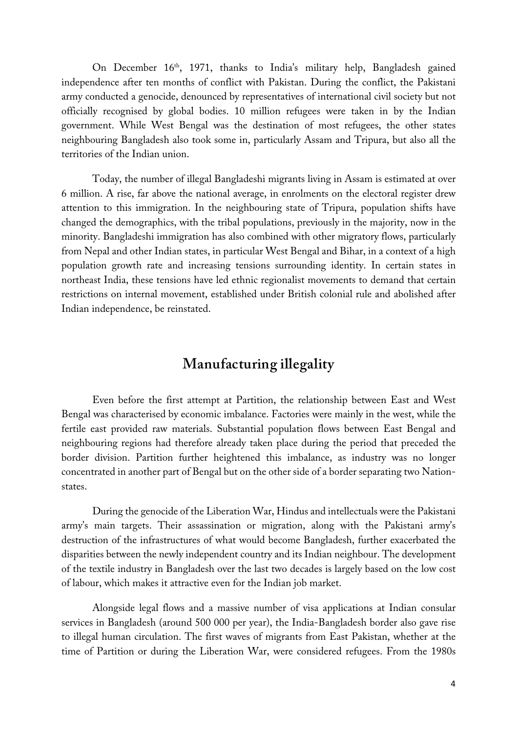On December 16th, 1971, thanks to India's military help, Bangladesh gained independence after ten months of conflict with Pakistan. During the conflict, the Pakistani army conducted a genocide, denounced by representatives of international civil society but not officially recognised by global bodies. 10 million refugees were taken in by the Indian government. While West Bengal was the destination of most refugees, the other states neighbouring Bangladesh also took some in, particularly Assam and Tripura, but also all the territories of the Indian union.

Today, the number of illegal Bangladeshi migrants living in Assam is estimated at over 6 million. A rise, far above the national average, in enrolments on the electoral register drew attention to this immigration. In the neighbouring state of Tripura, population shifts have changed the demographics, with the tribal populations, previously in the majority, now in the minority. Bangladeshi immigration has also combined with other migratory flows, particularly from Nepal and other Indian states, in particular West Bengal and Bihar, in a context of a high population growth rate and increasing tensions surrounding identity. In certain states in northeast India, these tensions have led ethnic regionalist movements to demand that certain restrictions on internal movement, established under British colonial rule and abolished after Indian independence, be reinstated.

### **Manufacturing illegality**

Even before the first attempt at Partition, the relationship between East and West Bengal was characterised by economic imbalance. Factories were mainly in the west, while the fertile east provided raw materials. Substantial population flows between East Bengal and neighbouring regions had therefore already taken place during the period that preceded the border division. Partition further heightened this imbalance, as industry was no longer concentrated in another part of Bengal but on the other side of a border separating two Nationstates.

During the genocide of the Liberation War, Hindus and intellectuals were the Pakistani army's main targets. Their assassination or migration, along with the Pakistani army's destruction of the infrastructures of what would become Bangladesh, further exacerbated the disparities between the newly independent country and its Indian neighbour. The development of the textile industry in Bangladesh over the last two decades is largely based on the low cost of labour, which makes it attractive even for the Indian job market.

Alongside legal flows and a massive number of visa applications at Indian consular services in Bangladesh (around 500 000 per year), the India-Bangladesh border also gave rise to illegal human circulation. The first waves of migrants from East Pakistan, whether at the time of Partition or during the Liberation War, were considered refugees. From the 1980s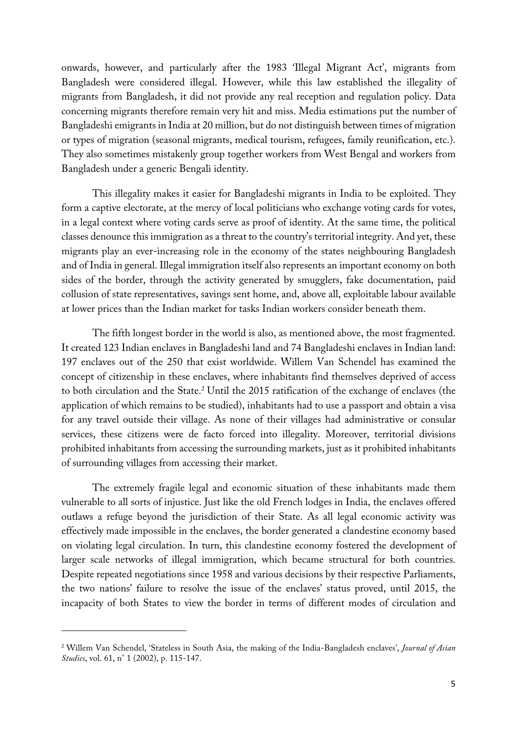onwards, however, and particularly after the 1983 'Illegal Migrant Act', migrants from Bangladesh were considered illegal. However, while this law established the illegality of migrants from Bangladesh, it did not provide any real reception and regulation policy. Data concerning migrants therefore remain very hit and miss. Media estimations put the number of Bangladeshi emigrants in India at 20 million, but do not distinguish between times of migration or types of migration (seasonal migrants, medical tourism, refugees, family reunification, etc.). They also sometimes mistakenly group together workers from West Bengal and workers from Bangladesh under a generic Bengali identity.

This illegality makes it easier for Bangladeshi migrants in India to be exploited. They form a captive electorate, at the mercy of local politicians who exchange voting cards for votes, in a legal context where voting cards serve as proof of identity. At the same time, the political classes denounce this immigration as a threat to the country's territorial integrity. And yet, these migrants play an ever-increasing role in the economy of the states neighbouring Bangladesh and of India in general. Illegal immigration itself also represents an important economy on both sides of the border, through the activity generated by smugglers, fake documentation, paid collusion of state representatives, savings sent home, and, above all, exploitable labour available at lower prices than the Indian market for tasks Indian workers consider beneath them.

The fifth longest border in the world is also, as mentioned above, the most fragmented. It created 123 Indian enclaves in Bangladeshi land and 74 Bangladeshi enclaves in Indian land: 197 enclaves out of the 250 that exist worldwide. Willem Van Schendel has examined the concept of citizenship in these enclaves, where inhabitants find themselves deprived of access to both circulation and the State.<sup>2</sup> Until the 2015 ratification of the exchange of enclaves (the application of which remains to be studied), inhabitants had to use a passport and obtain a visa for any travel outside their village. As none of their villages had administrative or consular services, these citizens were de facto forced into illegality. Moreover, territorial divisions prohibited inhabitants from accessing the surrounding markets, just as it prohibited inhabitants of surrounding villages from accessing their market.

The extremely fragile legal and economic situation of these inhabitants made them vulnerable to all sorts of injustice. Just like the old French lodges in India, the enclaves offered outlaws a refuge beyond the jurisdiction of their State. As all legal economic activity was effectively made impossible in the enclaves, the border generated a clandestine economy based on violating legal circulation. In turn, this clandestine economy fostered the development of larger scale networks of illegal immigration, which became structural for both countries. Despite repeated negotiations since 1958 and various decisions by their respective Parliaments, the two nations' failure to resolve the issue of the enclaves' status proved, until 2015, the incapacity of both States to view the border in terms of different modes of circulation and

 $\overline{a}$ 

<sup>2</sup> Willem Van Schendel, 'Stateless in South Asia, the making of the India-Bangladesh enclaves', *Journal of Asian Studies*, vol. 61, n° 1 (2002), p. 115-147.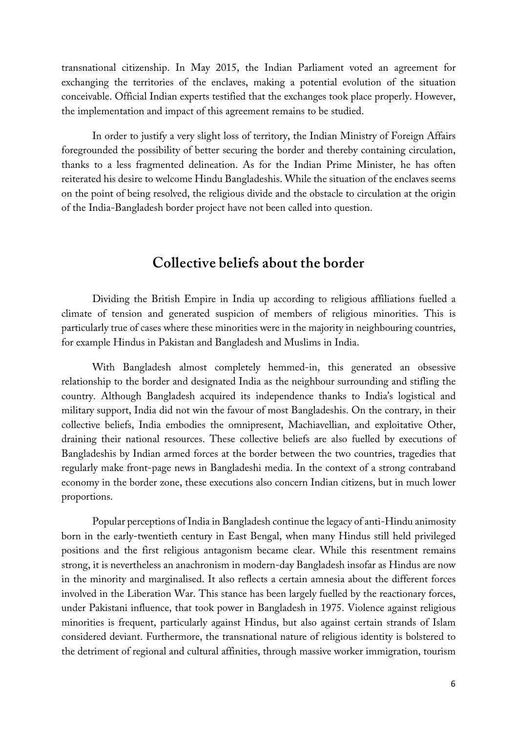transnational citizenship. In May 2015, the Indian Parliament voted an agreement for exchanging the territories of the enclaves, making a potential evolution of the situation conceivable. Official Indian experts testified that the exchanges took place properly. However, the implementation and impact of this agreement remains to be studied.

In order to justify a very slight loss of territory, the Indian Ministry of Foreign Affairs foregrounded the possibility of better securing the border and thereby containing circulation, thanks to a less fragmented delineation. As for the Indian Prime Minister, he has often reiterated his desire to welcome Hindu Bangladeshis. While the situation of the enclaves seems on the point of being resolved, the religious divide and the obstacle to circulation at the origin of the India-Bangladesh border project have not been called into question.

#### **Collective beliefs about the border**

Dividing the British Empire in India up according to religious affiliations fuelled a climate of tension and generated suspicion of members of religious minorities. This is particularly true of cases where these minorities were in the majority in neighbouring countries, for example Hindus in Pakistan and Bangladesh and Muslims in India.

With Bangladesh almost completely hemmed-in, this generated an obsessive relationship to the border and designated India as the neighbour surrounding and stifling the country. Although Bangladesh acquired its independence thanks to India's logistical and military support, India did not win the favour of most Bangladeshis. On the contrary, in their collective beliefs, India embodies the omnipresent, Machiavellian, and exploitative Other, draining their national resources. These collective beliefs are also fuelled by executions of Bangladeshis by Indian armed forces at the border between the two countries, tragedies that regularly make front-page news in Bangladeshi media. In the context of a strong contraband economy in the border zone, these executions also concern Indian citizens, but in much lower proportions.

Popular perceptions of India in Bangladesh continue the legacy of anti-Hindu animosity born in the early-twentieth century in East Bengal, when many Hindus still held privileged positions and the first religious antagonism became clear. While this resentment remains strong, it is nevertheless an anachronism in modern-day Bangladesh insofar as Hindus are now in the minority and marginalised. It also reflects a certain amnesia about the different forces involved in the Liberation War. This stance has been largely fuelled by the reactionary forces, under Pakistani influence, that took power in Bangladesh in 1975. Violence against religious minorities is frequent, particularly against Hindus, but also against certain strands of Islam considered deviant. Furthermore, the transnational nature of religious identity is bolstered to the detriment of regional and cultural affinities, through massive worker immigration, tourism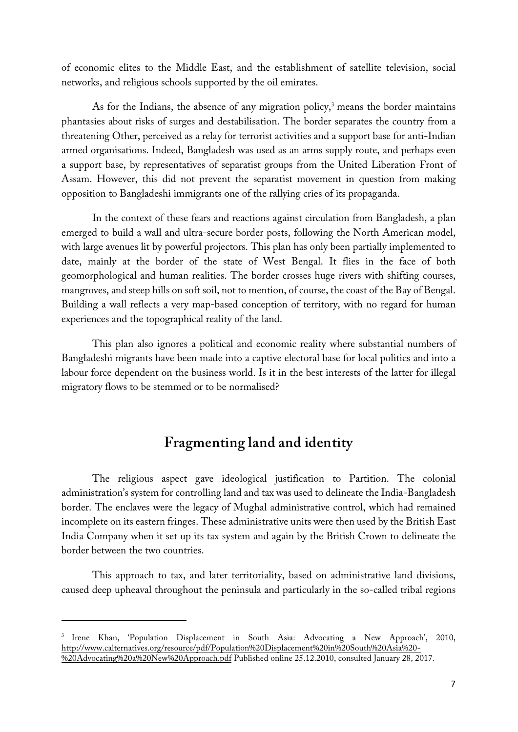of economic elites to the Middle East, and the establishment of satellite television, social networks, and religious schools supported by the oil emirates.

As for the Indians, the absence of any migration policy, <sup>3</sup> means the border maintains phantasies about risks of surges and destabilisation. The border separates the country from a threatening Other, perceived as a relay for terrorist activities and a support base for anti-Indian armed organisations. Indeed, Bangladesh was used as an arms supply route, and perhaps even a support base, by representatives of separatist groups from the United Liberation Front of Assam. However, this did not prevent the separatist movement in question from making opposition to Bangladeshi immigrants one of the rallying cries of its propaganda.

In the context of these fears and reactions against circulation from Bangladesh, a plan emerged to build a wall and ultra-secure border posts, following the North American model, with large avenues lit by powerful projectors. This plan has only been partially implemented to date, mainly at the border of the state of West Bengal. It flies in the face of both geomorphological and human realities. The border crosses huge rivers with shifting courses, mangroves, and steep hills on soft soil, not to mention, of course, the coast of the Bay of Bengal. Building a wall reflects a very map-based conception of territory, with no regard for human experiences and the topographical reality of the land.

This plan also ignores a political and economic reality where substantial numbers of Bangladeshi migrants have been made into a captive electoral base for local politics and into a labour force dependent on the business world. Is it in the best interests of the latter for illegal migratory flows to be stemmed or to be normalised?

## **Fragmenting land and identity**

The religious aspect gave ideological justification to Partition. The colonial administration's system for controlling land and tax was used to delineate the India-Bangladesh border. The enclaves were the legacy of Mughal administrative control, which had remained incomplete on its eastern fringes. These administrative units were then used by the British East India Company when it set up its tax system and again by the British Crown to delineate the border between the two countries.

This approach to tax, and later territoriality, based on administrative land divisions, caused deep upheaval throughout the peninsula and particularly in the so-called tribal regions

 $\overline{a}$ 

<sup>3</sup> Irene Khan, 'Population Displacement in South Asia: Advocating a New Approach', 2010, http://www.calternatives.org/resource/pdf/Population%20Displacement%20in%20South%20Asia%20- %20Advocating%20a%20New%20Approach.pdf Published online 25.12.2010, consulted January 28, 2017.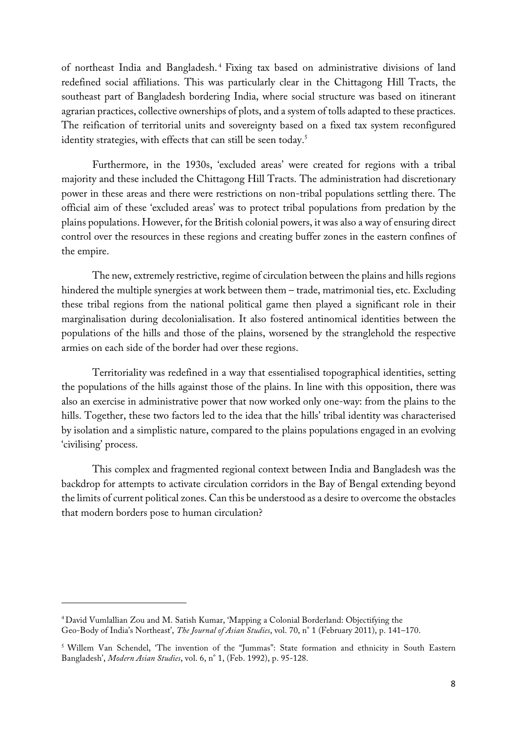of northeast India and Bangladesh. <sup>4</sup> Fixing tax based on administrative divisions of land redefined social affiliations. This was particularly clear in the Chittagong Hill Tracts, the southeast part of Bangladesh bordering India, where social structure was based on itinerant agrarian practices, collective ownerships of plots, and a system of tolls adapted to these practices. The reification of territorial units and sovereignty based on a fixed tax system reconfigured identity strategies, with effects that can still be seen today.<sup>5</sup>

Furthermore, in the 1930s, 'excluded areas' were created for regions with a tribal majority and these included the Chittagong Hill Tracts. The administration had discretionary power in these areas and there were restrictions on non-tribal populations settling there. The official aim of these 'excluded areas' was to protect tribal populations from predation by the plains populations. However, for the British colonial powers, it was also a way of ensuring direct control over the resources in these regions and creating buffer zones in the eastern confines of the empire.

The new, extremely restrictive, regime of circulation between the plains and hills regions hindered the multiple synergies at work between them – trade, matrimonial ties, etc. Excluding these tribal regions from the national political game then played a significant role in their marginalisation during decolonialisation. It also fostered antinomical identities between the populations of the hills and those of the plains, worsened by the stranglehold the respective armies on each side of the border had over these regions.

Territoriality was redefined in a way that essentialised topographical identities, setting the populations of the hills against those of the plains. In line with this opposition, there was also an exercise in administrative power that now worked only one-way: from the plains to the hills. Together, these two factors led to the idea that the hills' tribal identity was characterised by isolation and a simplistic nature, compared to the plains populations engaged in an evolving 'civilising' process.

This complex and fragmented regional context between India and Bangladesh was the backdrop for attempts to activate circulation corridors in the Bay of Bengal extending beyond the limits of current political zones. Can this be understood as a desire to overcome the obstacles that modern borders pose to human circulation?

 $\overline{a}$ 

<sup>4</sup> David Vumlallian Zou and M. Satish Kumar, 'Mapping a Colonial Borderland: Objectifying the Geo-Body of India's Northeast', *The Journal of Asian Studies*, vol. 70, n° 1 (February 2011), p. 141–170.

<sup>5</sup> Willem Van Schendel, 'The invention of the "Jummas": State formation and ethnicity in South Eastern Bangladesh', *Modern Asian Studies*, vol. 6, n° 1, (Feb. 1992), p. 95-128.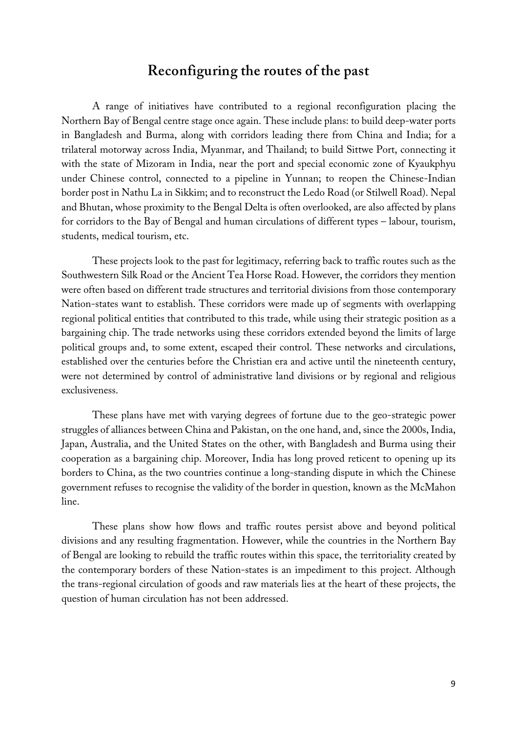#### **Reconfiguring the routes of the past**

A range of initiatives have contributed to a regional reconfiguration placing the Northern Bay of Bengal centre stage once again. These include plans: to build deep-water ports in Bangladesh and Burma, along with corridors leading there from China and India; for a trilateral motorway across India, Myanmar, and Thailand; to build Sittwe Port, connecting it with the state of Mizoram in India, near the port and special economic zone of Kyaukphyu under Chinese control, connected to a pipeline in Yunnan; to reopen the Chinese-Indian border post in Nathu La in Sikkim; and to reconstruct the Ledo Road (or Stilwell Road). Nepal and Bhutan, whose proximity to the Bengal Delta is often overlooked, are also affected by plans for corridors to the Bay of Bengal and human circulations of different types – labour, tourism, students, medical tourism, etc.

These projects look to the past for legitimacy, referring back to traffic routes such as the Southwestern Silk Road or the Ancient Tea Horse Road. However, the corridors they mention were often based on different trade structures and territorial divisions from those contemporary Nation-states want to establish. These corridors were made up of segments with overlapping regional political entities that contributed to this trade, while using their strategic position as a bargaining chip. The trade networks using these corridors extended beyond the limits of large political groups and, to some extent, escaped their control. These networks and circulations, established over the centuries before the Christian era and active until the nineteenth century, were not determined by control of administrative land divisions or by regional and religious exclusiveness.

These plans have met with varying degrees of fortune due to the geo-strategic power struggles of alliances between China and Pakistan, on the one hand, and, since the 2000s, India, Japan, Australia, and the United States on the other, with Bangladesh and Burma using their cooperation as a bargaining chip. Moreover, India has long proved reticent to opening up its borders to China, as the two countries continue a long-standing dispute in which the Chinese government refuses to recognise the validity of the border in question, known as the McMahon line.

These plans show how flows and traffic routes persist above and beyond political divisions and any resulting fragmentation. However, while the countries in the Northern Bay of Bengal are looking to rebuild the traffic routes within this space, the territoriality created by the contemporary borders of these Nation-states is an impediment to this project. Although the trans-regional circulation of goods and raw materials lies at the heart of these projects, the question of human circulation has not been addressed.